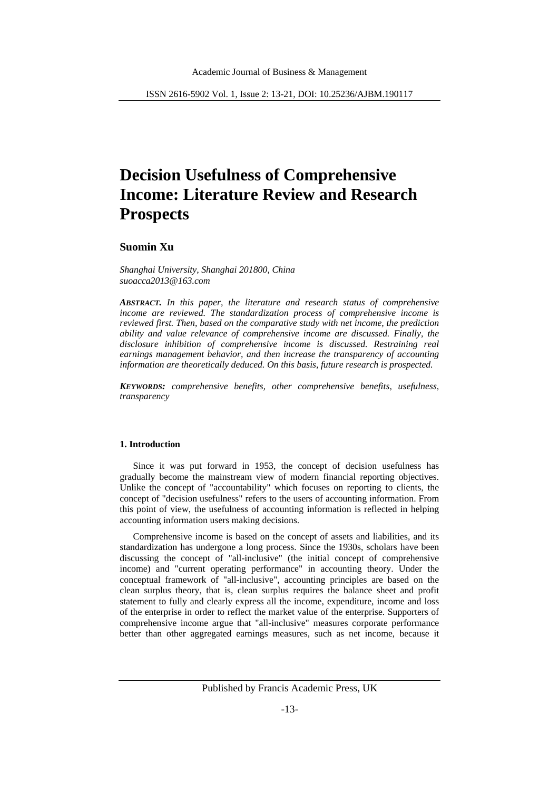# **Decision Usefulness of Comprehensive Income: Literature Review and Research Prospects**

# **Suomin Xu**

*Shanghai University, Shanghai 201800, China suoacca2013@163.com*

*ABSTRACT. In this paper, the literature and research status of comprehensive income are reviewed. The standardization process of comprehensive income is reviewed first. Then, based on the comparative study with net income, the prediction ability and value relevance of comprehensive income are discussed. Finally, the disclosure inhibition of comprehensive income is discussed. Restraining real earnings management behavior, and then increase the transparency of accounting information are theoretically deduced. On this basis, future research is prospected.*

*KEYWORDS: comprehensive benefits, other comprehensive benefits, usefulness, transparency*

## **1. Introduction**

Since it was put forward in 1953, the concept of decision usefulness has gradually become the mainstream view of modern financial reporting objectives. Unlike the concept of "accountability" which focuses on reporting to clients, the concept of "decision usefulness" refers to the users of accounting information. From this point of view, the usefulness of accounting information is reflected in helping accounting information users making decisions.

Comprehensive income is based on the concept of assets and liabilities, and its standardization has undergone a long process. Since the 1930s, scholars have been discussing the concept of "all-inclusive" (the initial concept of comprehensive income) and "current operating performance" in accounting theory. Under the conceptual framework of "all-inclusive", accounting principles are based on the clean surplus theory, that is, clean surplus requires the balance sheet and profit statement to fully and clearly express all the income, expenditure, income and loss of the enterprise in order to reflect the market value of the enterprise. Supporters of comprehensive income argue that "all-inclusive" measures corporate performance better than other aggregated earnings measures, such as net income, because it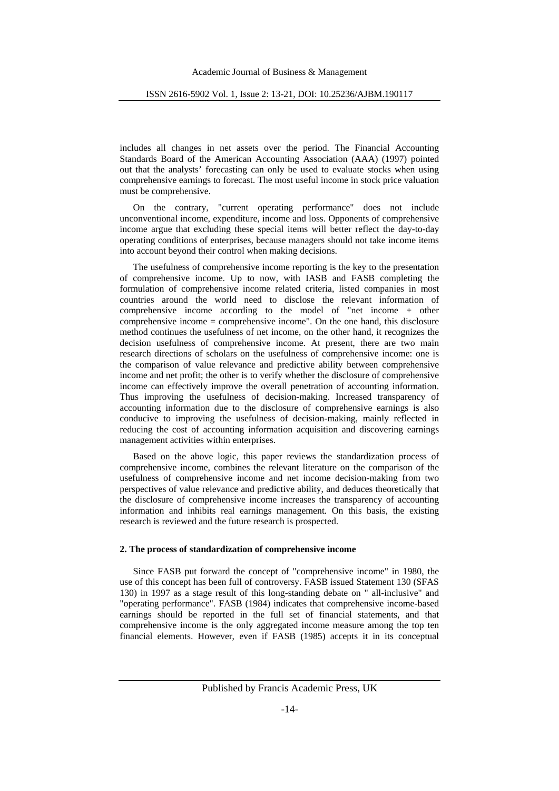includes all changes in net assets over the period. The Financial Accounting Standards Board of the American Accounting Association (AAA) (1997) pointed out that the analysts' forecasting can only be used to evaluate stocks when using comprehensive earnings to forecast. The most useful income in stock price valuation must be comprehensive.

On the contrary, "current operating performance" does not include unconventional income, expenditure, income and loss. Opponents of comprehensive income argue that excluding these special items will better reflect the day-to-day operating conditions of enterprises, because managers should not take income items into account beyond their control when making decisions.

The usefulness of comprehensive income reporting is the key to the presentation of comprehensive income. Up to now, with IASB and FASB completing the formulation of comprehensive income related criteria, listed companies in most countries around the world need to disclose the relevant information of comprehensive income according to the model of "net income + other comprehensive income = comprehensive income". On the one hand, this disclosure method continues the usefulness of net income, on the other hand, it recognizes the decision usefulness of comprehensive income. At present, there are two main research directions of scholars on the usefulness of comprehensive income: one is the comparison of value relevance and predictive ability between comprehensive income and net profit; the other is to verify whether the disclosure of comprehensive income can effectively improve the overall penetration of accounting information. Thus improving the usefulness of decision-making. Increased transparency of accounting information due to the disclosure of comprehensive earnings is also conducive to improving the usefulness of decision-making, mainly reflected in reducing the cost of accounting information acquisition and discovering earnings management activities within enterprises.

Based on the above logic, this paper reviews the standardization process of comprehensive income, combines the relevant literature on the comparison of the usefulness of comprehensive income and net income decision-making from two perspectives of value relevance and predictive ability, and deduces theoretically that the disclosure of comprehensive income increases the transparency of accounting information and inhibits real earnings management. On this basis, the existing research is reviewed and the future research is prospected.

## **2. The process of standardization of comprehensive income**

Since FASB put forward the concept of "comprehensive income" in 1980, the use of this concept has been full of controversy. FASB issued Statement 130 (SFAS 130) in 1997 as a stage result of this long-standing debate on " all-inclusive" and "operating performance". FASB (1984) indicates that comprehensive income-based earnings should be reported in the full set of financial statements, and that comprehensive income is the only aggregated income measure among the top ten financial elements. However, even if FASB (1985) accepts it in its conceptual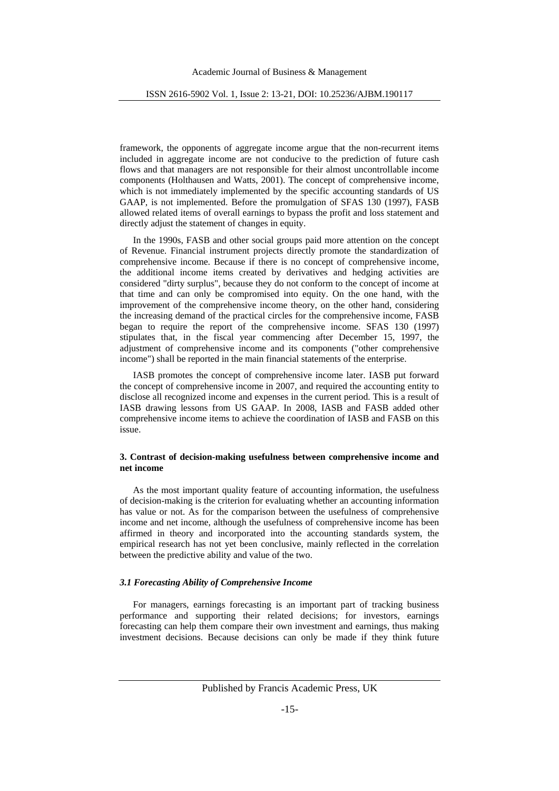framework, the opponents of aggregate income argue that the non-recurrent items included in aggregate income are not conducive to the prediction of future cash flows and that managers are not responsible for their almost uncontrollable income components (Holthausen and Watts, 2001). The concept of comprehensive income, which is not immediately implemented by the specific accounting standards of US GAAP, is not implemented. Before the promulgation of SFAS 130 (1997), FASB allowed related items of overall earnings to bypass the profit and loss statement and directly adjust the statement of changes in equity.

In the 1990s, FASB and other social groups paid more attention on the concept of Revenue. Financial instrument projects directly promote the standardization of comprehensive income. Because if there is no concept of comprehensive income, the additional income items created by derivatives and hedging activities are considered "dirty surplus", because they do not conform to the concept of income at that time and can only be compromised into equity. On the one hand, with the improvement of the comprehensive income theory, on the other hand, considering the increasing demand of the practical circles for the comprehensive income, FASB began to require the report of the comprehensive income. SFAS 130 (1997) stipulates that, in the fiscal year commencing after December 15, 1997, the adjustment of comprehensive income and its components ("other comprehensive income") shall be reported in the main financial statements of the enterprise.

IASB promotes the concept of comprehensive income later. IASB put forward the concept of comprehensive income in 2007, and required the accounting entity to disclose all recognized income and expenses in the current period. This is a result of IASB drawing lessons from US GAAP. In 2008, IASB and FASB added other comprehensive income items to achieve the coordination of IASB and FASB on this issue.

# **3. Contrast of decision-making usefulness between comprehensive income and net income**

As the most important quality feature of accounting information, the usefulness of decision-making is the criterion for evaluating whether an accounting information has value or not. As for the comparison between the usefulness of comprehensive income and net income, although the usefulness of comprehensive income has been affirmed in theory and incorporated into the accounting standards system, the empirical research has not yet been conclusive, mainly reflected in the correlation between the predictive ability and value of the two.

# *3.1 Forecasting Ability of Comprehensive Income*

For managers, earnings forecasting is an important part of tracking business performance and supporting their related decisions; for investors, earnings forecasting can help them compare their own investment and earnings, thus making investment decisions. Because decisions can only be made if they think future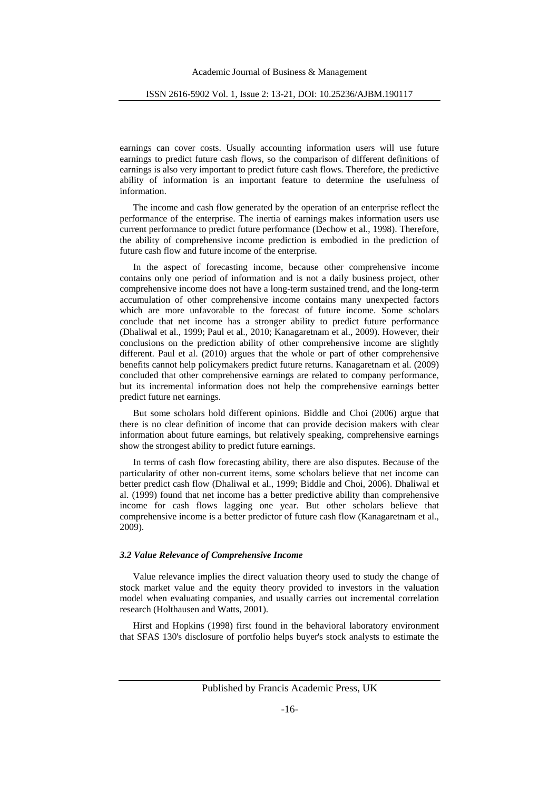earnings can cover costs. Usually accounting information users will use future earnings to predict future cash flows, so the comparison of different definitions of earnings is also very important to predict future cash flows. Therefore, the predictive ability of information is an important feature to determine the usefulness of information.

The income and cash flow generated by the operation of an enterprise reflect the performance of the enterprise. The inertia of earnings makes information users use current performance to predict future performance (Dechow et al., 1998). Therefore, the ability of comprehensive income prediction is embodied in the prediction of future cash flow and future income of the enterprise.

In the aspect of forecasting income, because other comprehensive income contains only one period of information and is not a daily business project, other comprehensive income does not have a long-term sustained trend, and the long-term accumulation of other comprehensive income contains many unexpected factors which are more unfavorable to the forecast of future income. Some scholars conclude that net income has a stronger ability to predict future performance (Dhaliwal et al., 1999; Paul et al., 2010; Kanagaretnam et al., 2009). However, their conclusions on the prediction ability of other comprehensive income are slightly different. Paul et al. (2010) argues that the whole or part of other comprehensive benefits cannot help policymakers predict future returns. Kanagaretnam et al. (2009) concluded that other comprehensive earnings are related to company performance, but its incremental information does not help the comprehensive earnings better predict future net earnings.

But some scholars hold different opinions. Biddle and Choi (2006) argue that there is no clear definition of income that can provide decision makers with clear information about future earnings, but relatively speaking, comprehensive earnings show the strongest ability to predict future earnings.

In terms of cash flow forecasting ability, there are also disputes. Because of the particularity of other non-current items, some scholars believe that net income can better predict cash flow (Dhaliwal et al., 1999; Biddle and Choi, 2006). Dhaliwal et al. (1999) found that net income has a better predictive ability than comprehensive income for cash flows lagging one year. But other scholars believe that comprehensive income is a better predictor of future cash flow (Kanagaretnam et al., 2009).

#### *3.2 Value Relevance of Comprehensive Income*

Value relevance implies the direct valuation theory used to study the change of stock market value and the equity theory provided to investors in the valuation model when evaluating companies, and usually carries out incremental correlation research (Holthausen and Watts, 2001).

Hirst and Hopkins (1998) first found in the behavioral laboratory environment that SFAS 130's disclosure of portfolio helps buyer's stock analysts to estimate the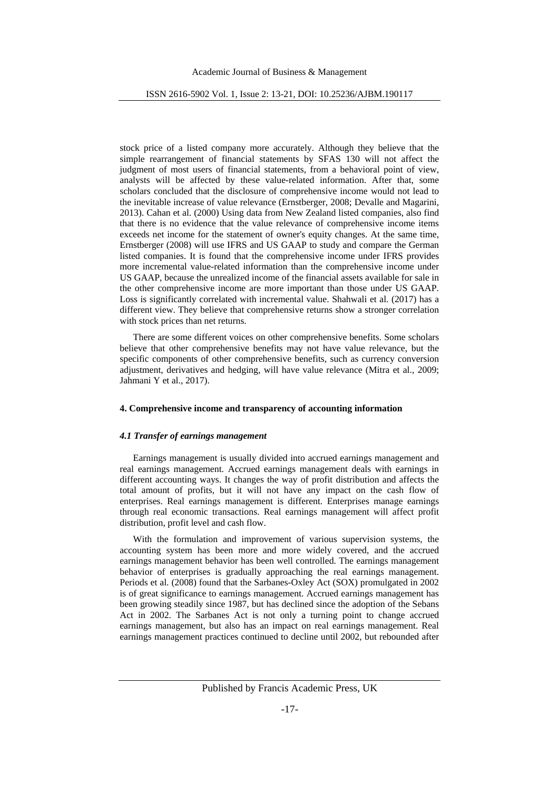stock price of a listed company more accurately. Although they believe that the simple rearrangement of financial statements by SFAS 130 will not affect the judgment of most users of financial statements, from a behavioral point of view, analysts will be affected by these value-related information. After that, some scholars concluded that the disclosure of comprehensive income would not lead to the inevitable increase of value relevance (Ernstberger, 2008; Devalle and Magarini, 2013). Cahan et al. (2000) Using data from New Zealand listed companies, also find that there is no evidence that the value relevance of comprehensive income items exceeds net income for the statement of owner's equity changes. At the same time, Ernstberger (2008) will use IFRS and US GAAP to study and compare the German listed companies. It is found that the comprehensive income under IFRS provides more incremental value-related information than the comprehensive income under US GAAP, because the unrealized income of the financial assets available for sale in the other comprehensive income are more important than those under US GAAP. Loss is significantly correlated with incremental value. Shahwali et al. (2017) has a different view. They believe that comprehensive returns show a stronger correlation with stock prices than net returns.

There are some different voices on other comprehensive benefits. Some scholars believe that other comprehensive benefits may not have value relevance, but the specific components of other comprehensive benefits, such as currency conversion adjustment, derivatives and hedging, will have value relevance (Mitra et al., 2009; Jahmani Y et al., 2017).

#### **4. Comprehensive income and transparency of accounting information**

## *4.1 Transfer of earnings management*

Earnings management is usually divided into accrued earnings management and real earnings management. Accrued earnings management deals with earnings in different accounting ways. It changes the way of profit distribution and affects the total amount of profits, but it will not have any impact on the cash flow of enterprises. Real earnings management is different. Enterprises manage earnings through real economic transactions. Real earnings management will affect profit distribution, profit level and cash flow.

With the formulation and improvement of various supervision systems, the accounting system has been more and more widely covered, and the accrued earnings management behavior has been well controlled. The earnings management behavior of enterprises is gradually approaching the real earnings management. Periods et al. (2008) found that the Sarbanes-Oxley Act (SOX) promulgated in 2002 is of great significance to earnings management. Accrued earnings management has been growing steadily since 1987, but has declined since the adoption of the Sebans Act in 2002. The Sarbanes Act is not only a turning point to change accrued earnings management, but also has an impact on real earnings management. Real earnings management practices continued to decline until 2002, but rebounded after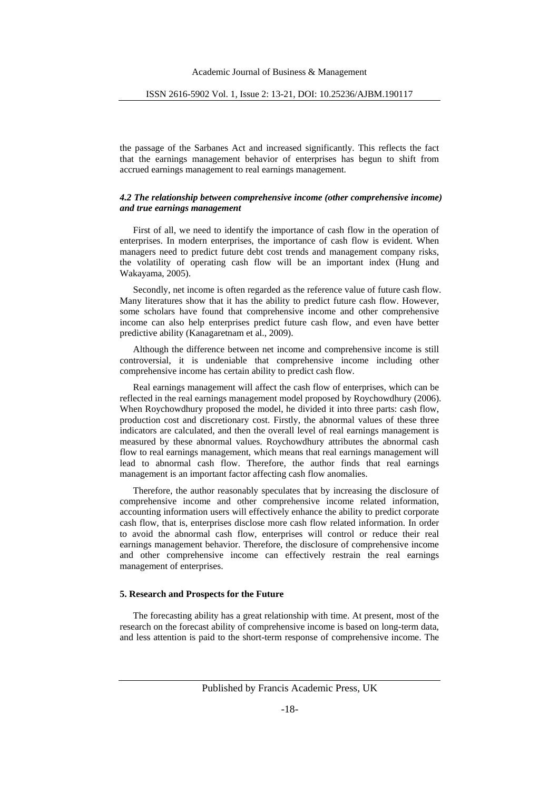the passage of the Sarbanes Act and increased significantly. This reflects the fact that the earnings management behavior of enterprises has begun to shift from accrued earnings management to real earnings management.

# *4.2 The relationship between comprehensive income (other comprehensive income) and true earnings management*

First of all, we need to identify the importance of cash flow in the operation of enterprises. In modern enterprises, the importance of cash flow is evident. When managers need to predict future debt cost trends and management company risks, the volatility of operating cash flow will be an important index (Hung and Wakayama, 2005).

Secondly, net income is often regarded as the reference value of future cash flow. Many literatures show that it has the ability to predict future cash flow. However, some scholars have found that comprehensive income and other comprehensive income can also help enterprises predict future cash flow, and even have better predictive ability (Kanagaretnam et al., 2009).

Although the difference between net income and comprehensive income is still controversial, it is undeniable that comprehensive income including other comprehensive income has certain ability to predict cash flow.

Real earnings management will affect the cash flow of enterprises, which can be reflected in the real earnings management model proposed by Roychowdhury (2006). When Roychowdhury proposed the model, he divided it into three parts: cash flow, production cost and discretionary cost. Firstly, the abnormal values of these three indicators are calculated, and then the overall level of real earnings management is measured by these abnormal values. Roychowdhury attributes the abnormal cash flow to real earnings management, which means that real earnings management will lead to abnormal cash flow. Therefore, the author finds that real earnings management is an important factor affecting cash flow anomalies.

Therefore, the author reasonably speculates that by increasing the disclosure of comprehensive income and other comprehensive income related information, accounting information users will effectively enhance the ability to predict corporate cash flow, that is, enterprises disclose more cash flow related information. In order to avoid the abnormal cash flow, enterprises will control or reduce their real earnings management behavior. Therefore, the disclosure of comprehensive income and other comprehensive income can effectively restrain the real earnings management of enterprises.

# **5. Research and Prospects for the Future**

The forecasting ability has a great relationship with time. At present, most of the research on the forecast ability of comprehensive income is based on long-term data, and less attention is paid to the short-term response of comprehensive income. The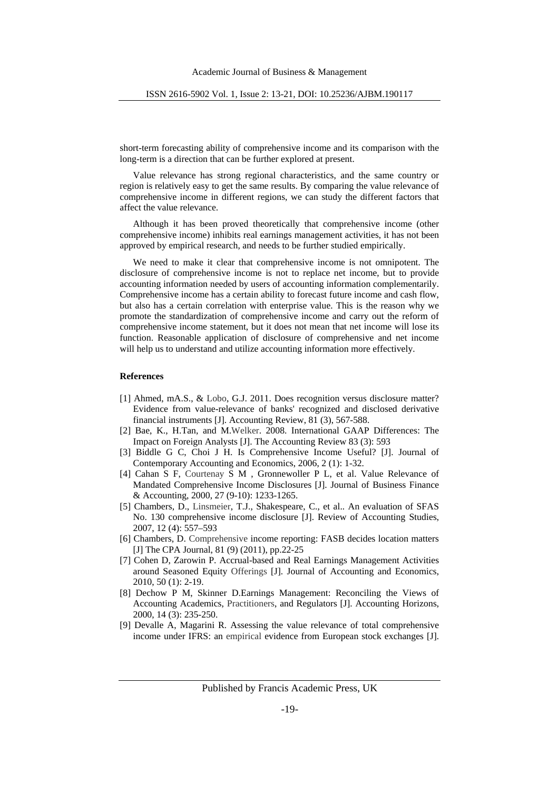short-term forecasting ability of comprehensive income and its comparison with the long-term is a direction that can be further explored at present.

Value relevance has strong regional characteristics, and the same country or region is relatively easy to get the same results. By comparing the value relevance of comprehensive income in different regions, we can study the different factors that affect the value relevance.

Although it has been proved theoretically that comprehensive income (other comprehensive income) inhibits real earnings management activities, it has not been approved by empirical research, and needs to be further studied empirically.

We need to make it clear that comprehensive income is not omnipotent. The disclosure of comprehensive income is not to replace net income, but to provide accounting information needed by users of accounting information complementarily. Comprehensive income has a certain ability to forecast future income and cash flow, but also has a certain correlation with enterprise value. This is the reason why we promote the standardization of comprehensive income and carry out the reform of comprehensive income statement, but it does not mean that net income will lose its function. Reasonable application of disclosure of comprehensive and net income will help us to understand and utilize accounting information more effectively.

#### **References**

- [1] Ahmed, mA.S., & Lobo, G.J. 2011. Does recognition versus disclosure matter? Evidence from value-relevance of banks' recognized and disclosed derivative financial instruments [J]. Accounting Review, 81 (3), 567-588.
- [2] Bae, K., H.Tan, and M.Welker. 2008. International GAAP Differences: The Impact on Foreign Analysts [J]. The Accounting Review 83 (3): 593
- [3] Biddle G C, Choi J H. Is Comprehensive Income Useful? [J]. Journal of Contemporary Accounting and Economics, 2006, 2 (1): 1-32.
- [4] Cahan S F, Courtenay S M , Gronnewoller P L, et al. Value Relevance of Mandated Comprehensive Income Disclosures [J]. Journal of Business Finance & Accounting, 2000, 27 (9-10): 1233-1265.
- [5] Chambers, D., Linsmeier, T.J., Shakespeare, C., et al.. An evaluation of SFAS No. 130 comprehensive income disclosure [J]. Review of Accounting Studies, 2007, 12 (4): 557–593
- [6] Chambers, D. Comprehensive income reporting: FASB decides location matters [J] The CPA Journal, 81 (9) (2011), pp.22-25
- [7] Cohen D, Zarowin P. Accrual-based and Real Earnings Management Activities around Seasoned Equity Offerings [J]. Journal of Accounting and Economics, 2010, 50 (1): 2-19.
- [8] Dechow P M, Skinner D.Earnings Management: Reconciling the Views of Accounting Academics, Practitioners, and Regulators [J]. Accounting Horizons, 2000, 14 (3): 235-250.
- [9] Devalle A, Magarini R. Assessing the value relevance of total comprehensive income under IFRS: an empirical evidence from European stock exchanges [J].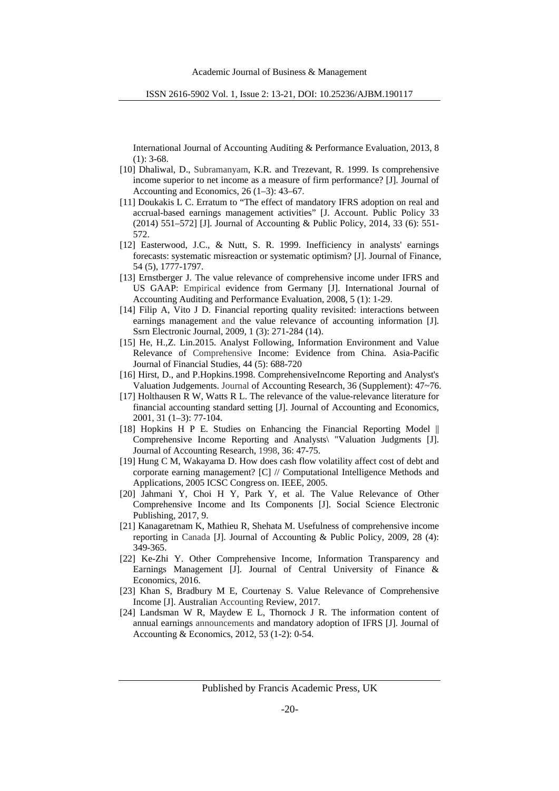International Journal of Accounting Auditing & Performance Evaluation, 2013, 8  $(1): 3-68.$ 

- [10] Dhaliwal, D., Subramanyam, K.R. and Trezevant, R. 1999. Is comprehensive income superior to net income as a measure of firm performance? [J]. Journal of Accounting and Economics, 26 (1–3): 43–67.
- [11] Doukakis L C. Erratum to "The effect of mandatory IFRS adoption on real and accrual-based earnings management activities" [J. Account. Public Policy 33 (2014) 551–572] [J]. Journal of Accounting & Public Policy, 2014, 33 (6): 551- 572.
- [12] Easterwood, J.C., & Nutt, S. R. 1999. Inefficiency in analysts' earnings forecasts: systematic misreaction or systematic optimism? [J]. Journal of Finance, 54 (5), 1777-1797.
- [13] Ernstberger J. The value relevance of comprehensive income under IFRS and US GAAP: Empirical evidence from Germany [J]. International Journal of Accounting Auditing and Performance Evaluation, 2008, 5 (1): 1-29.
- [14] Filip A, Vito J D. Financial reporting quality revisited: interactions between earnings management and the value relevance of accounting information [J]. Ssrn Electronic Journal, 2009, 1 (3): 271-284 (14).
- [15] He, H.,Z. Lin.2015. Analyst Following, Information Environment and Value Relevance of Comprehensive Income: Evidence from China. Asia-Pacific Journal of Financial Studies, 44 (5): 688-720
- [16] Hirst, D., and P.Hopkins.1998. ComprehensiveIncome Reporting and Analyst's Valuation Judgements. Journal of Accounting Research, 36 (Supplement): 47~76.
- [17] Holthausen R W, Watts R L. The relevance of the value-relevance literature for financial accounting standard setting [J]. Journal of Accounting and Economics, 2001, 31 (1–3): 77-104.
- [18] Hopkins H P E. Studies on Enhancing the Financial Reporting Model || Comprehensive Income Reporting and Analysts\ "Valuation Judgments [J]. Journal of Accounting Research, 1998, 36: 47-75.
- [19] Hung C M, Wakayama D. How does cash flow volatility affect cost of debt and corporate earning management? [C] // Computational Intelligence Methods and Applications, 2005 ICSC Congress on. IEEE, 2005.
- [20] Jahmani Y, Choi H Y, Park Y, et al. The Value Relevance of Other Comprehensive Income and Its Components [J]. Social Science Electronic Publishing, 2017, 9.
- [21] Kanagaretnam K, Mathieu R, Shehata M. Usefulness of comprehensive income reporting in Canada [J]. Journal of Accounting & Public Policy, 2009, 28 (4): 349-365.
- [22] Ke-Zhi Y. Other Comprehensive Income, Information Transparency and Earnings Management [J]. Journal of Central University of Finance & Economics, 2016.
- [23] Khan S, Bradbury M E, Courtenay S. Value Relevance of Comprehensive Income [J]. Australian Accounting Review, 2017.
- [24] Landsman W R, Maydew E L, Thornock J R. The information content of annual earnings announcements and mandatory adoption of IFRS [J]. Journal of Accounting & Economics, 2012, 53 (1-2): 0-54.